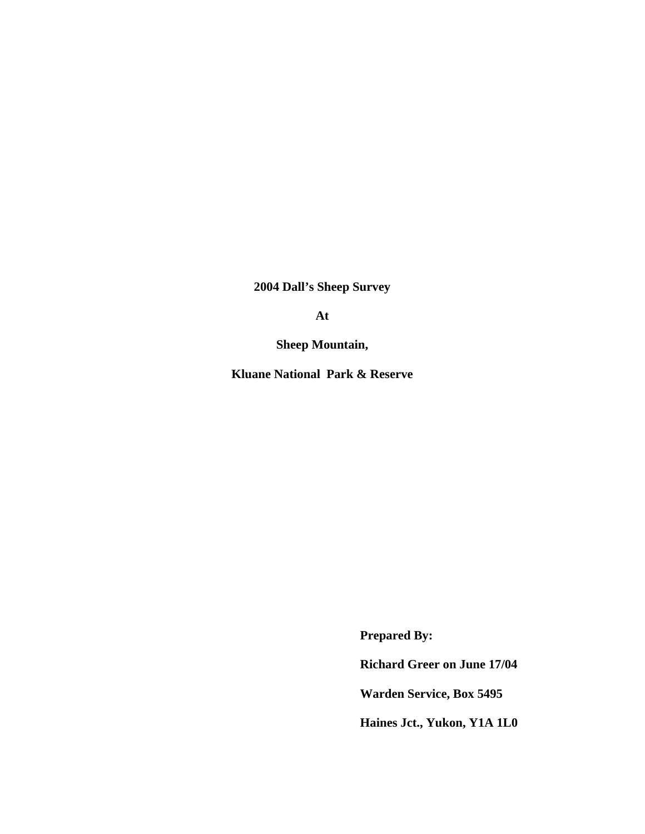**2004 Dall's Sheep Survey** 

**At** 

**Sheep Mountain,** 

**Kluane National Park & Reserve** 

 **Prepared By:** 

 **Richard Greer on June 17/04** 

 **Warden Service, Box 5495** 

 **Haines Jct., Yukon, Y1A 1L0**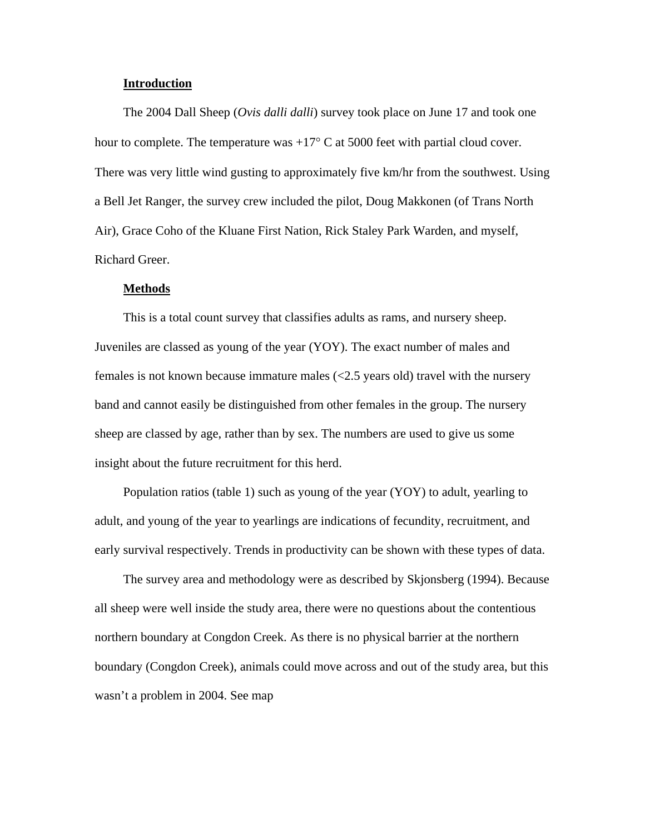#### **Introduction**

The 2004 Dall Sheep (*Ovis dalli dalli*) survey took place on June 17 and took one hour to complete. The temperature was  $+17^{\circ}$  C at 5000 feet with partial cloud cover. There was very little wind gusting to approximately five km/hr from the southwest. Using a Bell Jet Ranger, the survey crew included the pilot, Doug Makkonen (of Trans North Air), Grace Coho of the Kluane First Nation, Rick Staley Park Warden, and myself, Richard Greer.

#### **Methods**

This is a total count survey that classifies adults as rams, and nursery sheep. Juveniles are classed as young of the year (YOY). The exact number of males and females is not known because immature males (<2.5 years old) travel with the nursery band and cannot easily be distinguished from other females in the group. The nursery sheep are classed by age, rather than by sex. The numbers are used to give us some insight about the future recruitment for this herd.

Population ratios (table 1) such as young of the year (YOY) to adult, yearling to adult, and young of the year to yearlings are indications of fecundity, recruitment, and early survival respectively. Trends in productivity can be shown with these types of data.

The survey area and methodology were as described by Skjonsberg (1994). Because all sheep were well inside the study area, there were no questions about the contentious northern boundary at Congdon Creek. As there is no physical barrier at the northern boundary (Congdon Creek), animals could move across and out of the study area, but this wasn't a problem in 2004. See map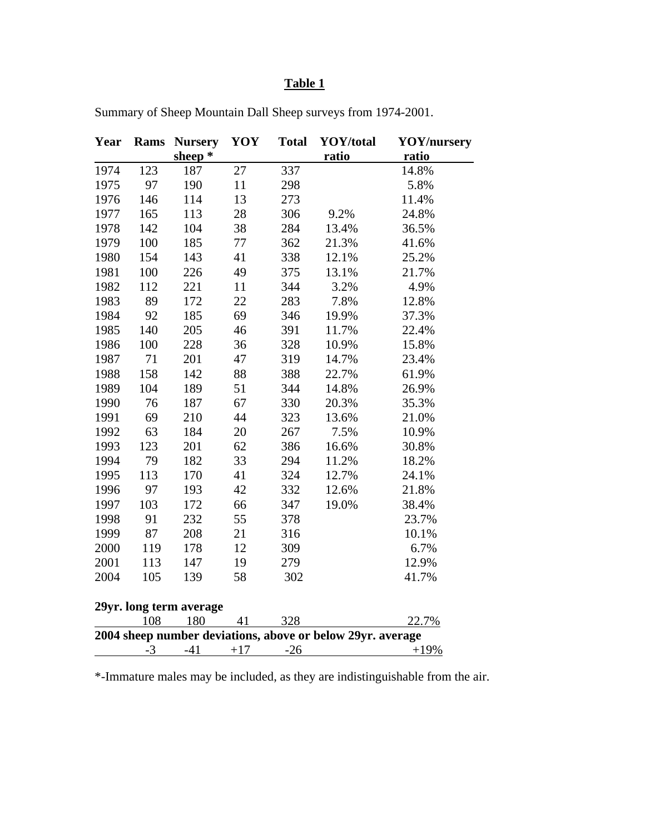# **Table 1**

| Year                                                       | <b>Rams</b> | <b>Nursery</b> | YOY   | <b>Total</b> | YOY/total | <b>YOY/nursery</b> |
|------------------------------------------------------------|-------------|----------------|-------|--------------|-----------|--------------------|
|                                                            |             | sheep $*$      |       |              | ratio     | ratio              |
| 1974                                                       | 123         | 187            | 27    | 337          |           | 14.8%              |
| 1975                                                       | 97          | 190            | 11    | 298          |           | 5.8%               |
| 1976                                                       | 146         | 114            | 13    | 273          |           | 11.4%              |
| 1977                                                       | 165         | 113            | 28    | 306          | 9.2%      | 24.8%              |
| 1978                                                       | 142         | 104            | 38    | 284          | 13.4%     | 36.5%              |
| 1979                                                       | 100         | 185            | 77    | 362          | 21.3%     | 41.6%              |
| 1980                                                       | 154         | 143            | 41    | 338          | 12.1%     | 25.2%              |
| 1981                                                       | 100         | 226            | 49    | 375          | 13.1%     | 21.7%              |
| 1982                                                       | 112         | 221            | 11    | 344          | 3.2%      | 4.9%               |
| 1983                                                       | 89          | 172            | 22    | 283          | 7.8%      | 12.8%              |
| 1984                                                       | 92          | 185            | 69    | 346          | 19.9%     | 37.3%              |
| 1985                                                       | 140         | 205            | 46    | 391          | 11.7%     | 22.4%              |
| 1986                                                       | 100         | 228            | 36    | 328          | 10.9%     | 15.8%              |
| 1987                                                       | 71          | 201            | 47    | 319          | 14.7%     | 23.4%              |
| 1988                                                       | 158         | 142            | 88    | 388          | 22.7%     | 61.9%              |
| 1989                                                       | 104         | 189            | 51    | 344          | 14.8%     | 26.9%              |
| 1990                                                       | 76          | 187            | 67    | 330          | 20.3%     | 35.3%              |
| 1991                                                       | 69          | 210            | 44    | 323          | 13.6%     | 21.0%              |
| 1992                                                       | 63          | 184            | 20    | 267          | 7.5%      | 10.9%              |
| 1993                                                       | 123         | 201            | 62    | 386          | 16.6%     | 30.8%              |
| 1994                                                       | 79          | 182            | 33    | 294          | 11.2%     | 18.2%              |
| 1995                                                       | 113         | 170            | 41    | 324          | 12.7%     | 24.1%              |
| 1996                                                       | 97          | 193            | 42    | 332          | 12.6%     | 21.8%              |
| 1997                                                       | 103         | 172            | 66    | 347          | 19.0%     | 38.4%              |
| 1998                                                       | 91          | 232            | 55    | 378          |           | 23.7%              |
| 1999                                                       | 87          | 208            | 21    | 316          |           | 10.1%              |
| 2000                                                       | 119         | 178            | 12    | 309          |           | 6.7%               |
| 2001                                                       | 113         | 147            | 19    | 279          |           | 12.9%              |
| 2004                                                       | 105         | 139            | 58    | 302          |           | 41.7%              |
| 29yr. long term average                                    |             |                |       |              |           |                    |
|                                                            | 108         | 180            | 41    | 328          |           | 22.7%              |
| 2004 sheep number deviations, above or below 29yr. average |             |                |       |              |           |                    |
|                                                            | $-3$        | $-41$          | $+17$ | $-26$        |           | $+19%$             |

Summary of Sheep Mountain Dall Sheep surveys from 1974-2001.

\*-Immature males may be included, as they are indistinguishable from the air.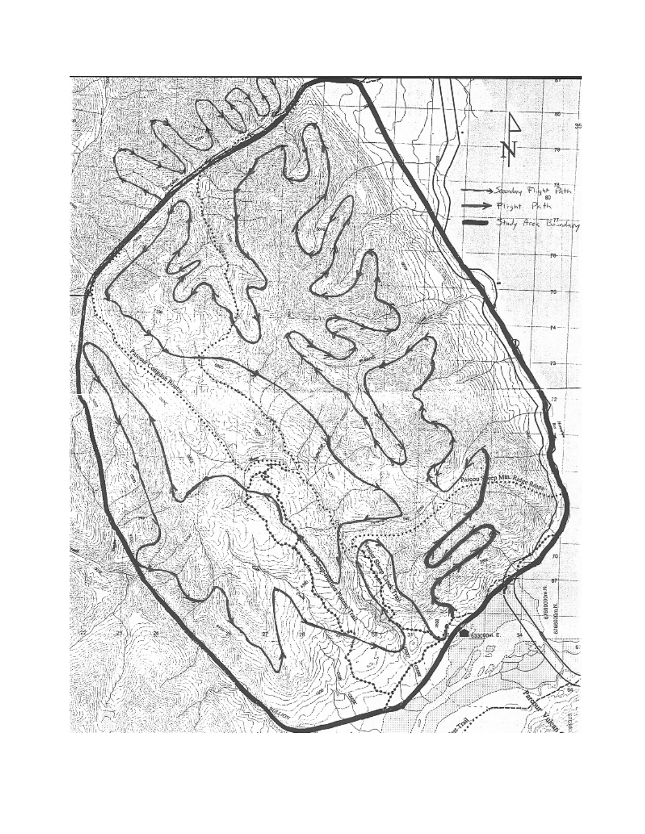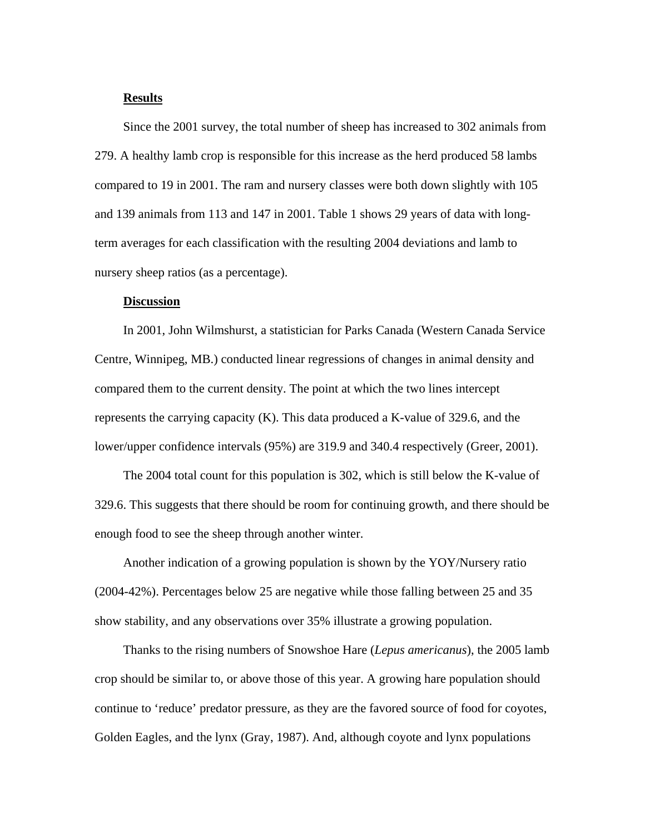### **Results**

Since the 2001 survey, the total number of sheep has increased to 302 animals from 279. A healthy lamb crop is responsible for this increase as the herd produced 58 lambs compared to 19 in 2001. The ram and nursery classes were both down slightly with 105 and 139 animals from 113 and 147 in 2001. Table 1 shows 29 years of data with longterm averages for each classification with the resulting 2004 deviations and lamb to nursery sheep ratios (as a percentage).

## **Discussion**

In 2001, John Wilmshurst, a statistician for Parks Canada (Western Canada Service Centre, Winnipeg, MB.) conducted linear regressions of changes in animal density and compared them to the current density. The point at which the two lines intercept represents the carrying capacity (K). This data produced a K-value of 329.6, and the lower/upper confidence intervals (95%) are 319.9 and 340.4 respectively (Greer, 2001).

The 2004 total count for this population is 302, which is still below the K-value of 329.6. This suggests that there should be room for continuing growth, and there should be enough food to see the sheep through another winter.

Another indication of a growing population is shown by the YOY/Nursery ratio (2004-42%). Percentages below 25 are negative while those falling between 25 and 35 show stability, and any observations over 35% illustrate a growing population.

Thanks to the rising numbers of Snowshoe Hare (*Lepus americanus*), the 2005 lamb crop should be similar to, or above those of this year. A growing hare population should continue to 'reduce' predator pressure, as they are the favored source of food for coyotes, Golden Eagles, and the lynx (Gray, 1987). And, although coyote and lynx populations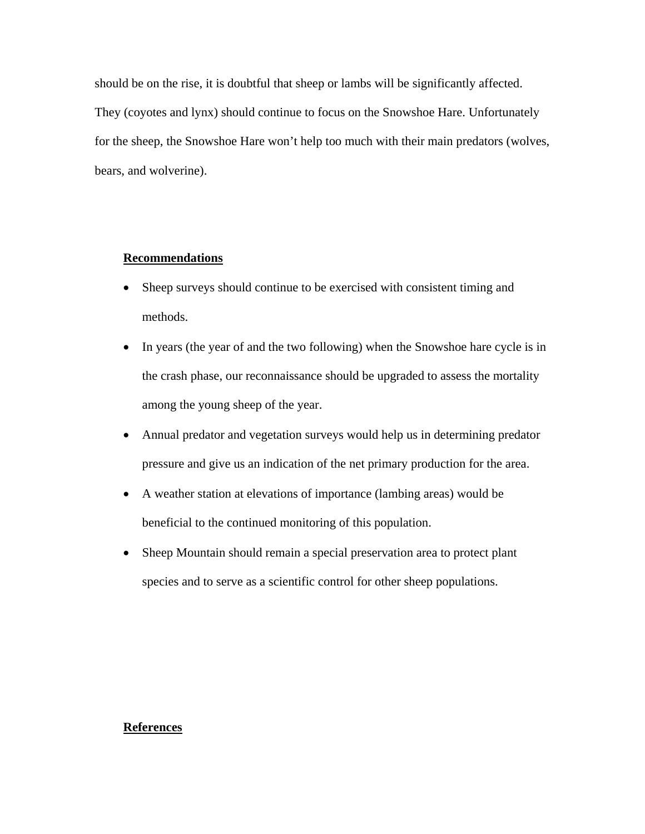should be on the rise, it is doubtful that sheep or lambs will be significantly affected. They (coyotes and lynx) should continue to focus on the Snowshoe Hare. Unfortunately for the sheep, the Snowshoe Hare won't help too much with their main predators (wolves, bears, and wolverine).

### **Recommendations**

- Sheep surveys should continue to be exercised with consistent timing and methods.
- In years (the year of and the two following) when the Snowshoe hare cycle is in the crash phase, our reconnaissance should be upgraded to assess the mortality among the young sheep of the year.
- Annual predator and vegetation surveys would help us in determining predator pressure and give us an indication of the net primary production for the area.
- A weather station at elevations of importance (lambing areas) would be beneficial to the continued monitoring of this population.
- Sheep Mountain should remain a special preservation area to protect plant species and to serve as a scientific control for other sheep populations.

#### **References**